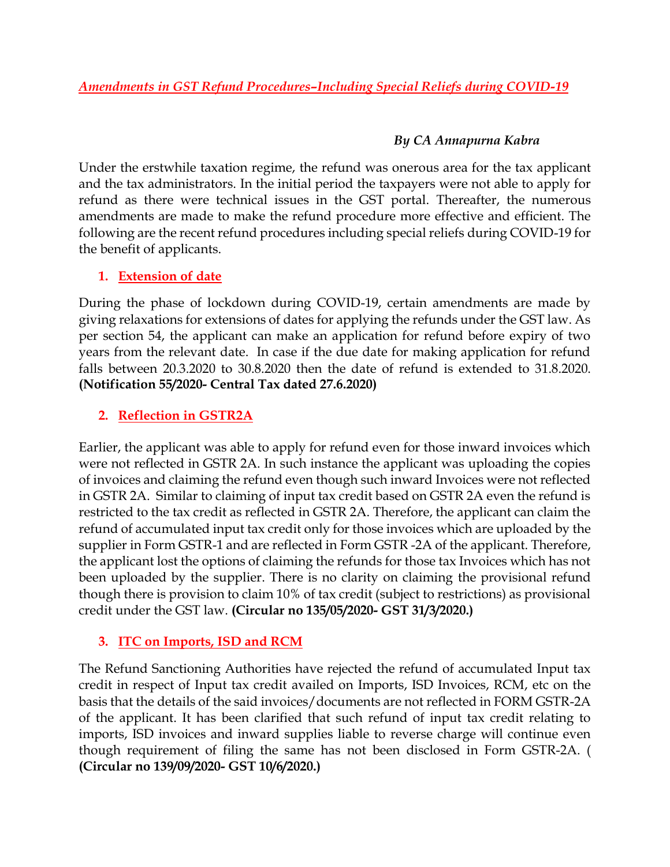# *By CA Annapurna Kabra*

Under the erstwhile taxation regime, the refund was onerous area for the tax applicant and the tax administrators. In the initial period the taxpayers were not able to apply for refund as there were technical issues in the GST portal. Thereafter, the numerous amendments are made to make the refund procedure more effective and efficient. The following are the recent refund procedures including special reliefs during COVID-19 for the benefit of applicants.

# **1. Extension of date**

During the phase of lockdown during COVID-19, certain amendments are made by giving relaxations for extensions of dates for applying the refunds under the GST law. As per section 54, the applicant can make an application for refund before expiry of two years from the relevant date. In case if the due date for making application for refund falls between 20.3.2020 to 30.8.2020 then the date of refund is extended to 31.8.2020. **(Notification 55/2020- Central Tax dated 27.6.2020)**

# **2. Reflection in GSTR2A**

Earlier, the applicant was able to apply for refund even for those inward invoices which were not reflected in GSTR 2A. In such instance the applicant was uploading the copies of invoices and claiming the refund even though such inward Invoices were not reflected in GSTR 2A. Similar to claiming of input tax credit based on GSTR 2A even the refund is restricted to the tax credit as reflected in GSTR 2A. Therefore, the applicant can claim the refund of accumulated input tax credit only for those invoices which are uploaded by the supplier in Form GSTR-1 and are reflected in Form GSTR -2A of the applicant. Therefore, the applicant lost the options of claiming the refunds for those tax Invoices which has not been uploaded by the supplier. There is no clarity on claiming the provisional refund though there is provision to claim 10% of tax credit (subject to restrictions) as provisional credit under the GST law. **(Circular no 135/05/2020- GST 31/3/2020.)**

# **3. ITC on Imports, ISD and RCM**

The Refund Sanctioning Authorities have rejected the refund of accumulated Input tax credit in respect of Input tax credit availed on Imports, ISD Invoices, RCM, etc on the basis that the details of the said invoices/documents are not reflected in FORM GSTR-2A of the applicant. It has been clarified that such refund of input tax credit relating to imports, ISD invoices and inward supplies liable to reverse charge will continue even though requirement of filing the same has not been disclosed in Form GSTR-2A. ( **(Circular no 139/09/2020- GST 10/6/2020.)**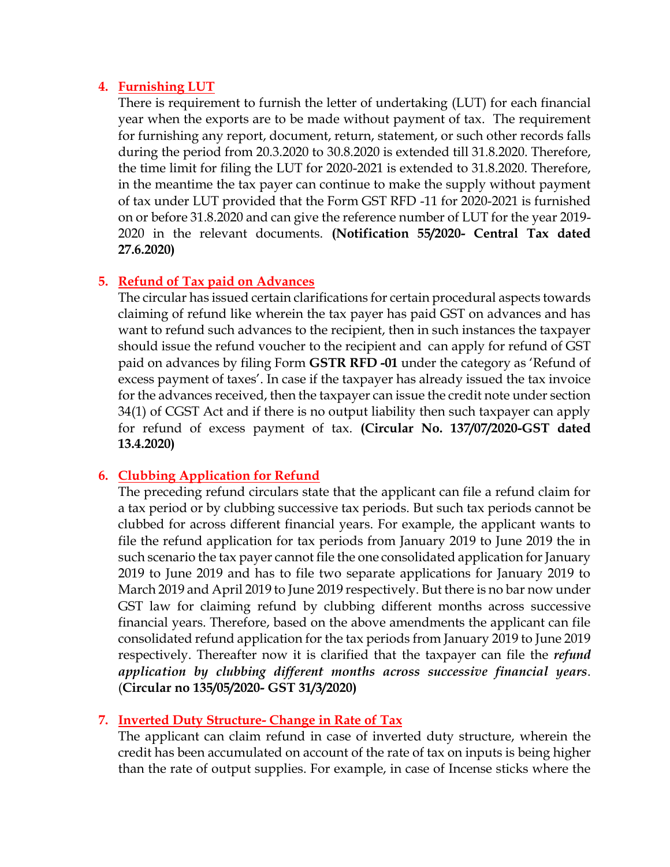### **4. Furnishing LUT**

There is requirement to furnish the letter of undertaking (LUT) for each financial year when the exports are to be made without payment of tax. The requirement for furnishing any report, document, return, statement, or such other records falls during the period from 20.3.2020 to 30.8.2020 is extended till 31.8.2020. Therefore, the time limit for filing the LUT for 2020-2021 is extended to 31.8.2020. Therefore, in the meantime the tax payer can continue to make the supply without payment of tax under LUT provided that the Form GST RFD -11 for 2020-2021 is furnished on or before 31.8.2020 and can give the reference number of LUT for the year 2019- 2020 in the relevant documents. **(Notification 55/2020- Central Tax dated 27.6.2020)**

# **5. Refund of Tax paid on Advances**

The circular has issued certain clarifications for certain procedural aspects towards claiming of refund like wherein the tax payer has paid GST on advances and has want to refund such advances to the recipient, then in such instances the taxpayer should issue the refund voucher to the recipient and can apply for refund of GST paid on advances by filing Form **GSTR RFD -01** under the category as 'Refund of excess payment of taxes'. In case if the taxpayer has already issued the tax invoice for the advances received, then the taxpayer can issue the credit note under section 34(1) of CGST Act and if there is no output liability then such taxpayer can apply for refund of excess payment of tax. **(Circular No. 137/07/2020-GST dated 13.4.2020)**

## **6. Clubbing Application for Refund**

The preceding refund circulars state that the applicant can file a refund claim for a tax period or by clubbing successive tax periods. But such tax periods cannot be clubbed for across different financial years. For example, the applicant wants to file the refund application for tax periods from January 2019 to June 2019 the in such scenario the tax payer cannot file the one consolidated application for January 2019 to June 2019 and has to file two separate applications for January 2019 to March 2019 and April 2019 to June 2019 respectively. But there is no bar now under GST law for claiming refund by clubbing different months across successive financial years. Therefore, based on the above amendments the applicant can file consolidated refund application for the tax periods from January 2019 to June 2019 respectively. Thereafter now it is clarified that the taxpayer can file the *refund application by clubbing different months across successive financial years*. (**Circular no 135/05/2020- GST 31/3/2020)**

# **7. Inverted Duty Structure- Change in Rate of Tax**

The applicant can claim refund in case of inverted duty structure, wherein the credit has been accumulated on account of the rate of tax on inputs is being higher than the rate of output supplies. For example, in case of Incense sticks where the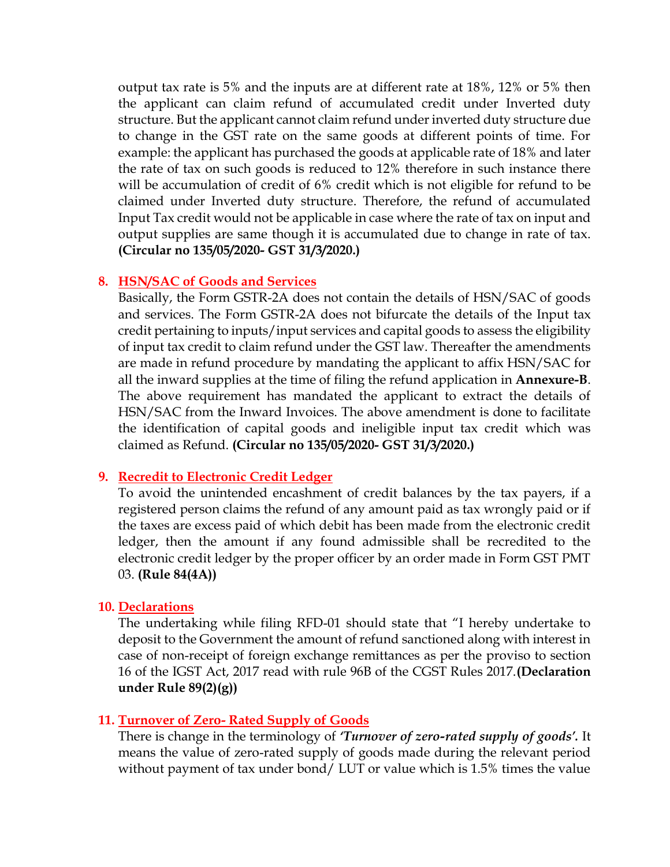output tax rate is 5% and the inputs are at different rate at 18%, 12% or 5% then the applicant can claim refund of accumulated credit under Inverted duty structure. But the applicant cannot claim refund under inverted duty structure due to change in the GST rate on the same goods at different points of time. For example: the applicant has purchased the goods at applicable rate of 18% and later the rate of tax on such goods is reduced to 12% therefore in such instance there will be accumulation of credit of 6% credit which is not eligible for refund to be claimed under Inverted duty structure. Therefore, the refund of accumulated Input Tax credit would not be applicable in case where the rate of tax on input and output supplies are same though it is accumulated due to change in rate of tax. **(Circular no 135/05/2020- GST 31/3/2020.)**

#### **8. HSN/SAC of Goods and Services**

Basically, the Form GSTR-2A does not contain the details of HSN/SAC of goods and services. The Form GSTR-2A does not bifurcate the details of the Input tax credit pertaining to inputs/input services and capital goods to assess the eligibility of input tax credit to claim refund under the GST law. Thereafter the amendments are made in refund procedure by mandating the applicant to affix HSN/SAC for all the inward supplies at the time of filing the refund application in **Annexure-B**. The above requirement has mandated the applicant to extract the details of HSN/SAC from the Inward Invoices. The above amendment is done to facilitate the identification of capital goods and ineligible input tax credit which was claimed as Refund. **(Circular no 135/05/2020- GST 31/3/2020.)**

#### **9. Recredit to Electronic Credit Ledger**

To avoid the unintended encashment of credit balances by the tax payers, if a registered person claims the refund of any amount paid as tax wrongly paid or if the taxes are excess paid of which debit has been made from the electronic credit ledger, then the amount if any found admissible shall be recredited to the electronic credit ledger by the proper officer by an order made in Form GST PMT 03. **(Rule 84(4A))**

#### **10. Declarations**

The undertaking while filing RFD-01 should state that "I hereby undertake to deposit to the Government the amount of refund sanctioned along with interest in case of non-receipt of foreign exchange remittances as per the proviso to section 16 of the IGST Act, 2017 read with rule 96B of the CGST Rules 2017.**(Declaration under Rule 89(2)(g))**

## **11. Turnover of Zero- Rated Supply of Goods**

There is change in the terminology of *'Turnover of zero-rated supply of goods'.* It means the value of zero-rated supply of goods made during the relevant period without payment of tax under bond/ LUT or value which is 1.5% times the value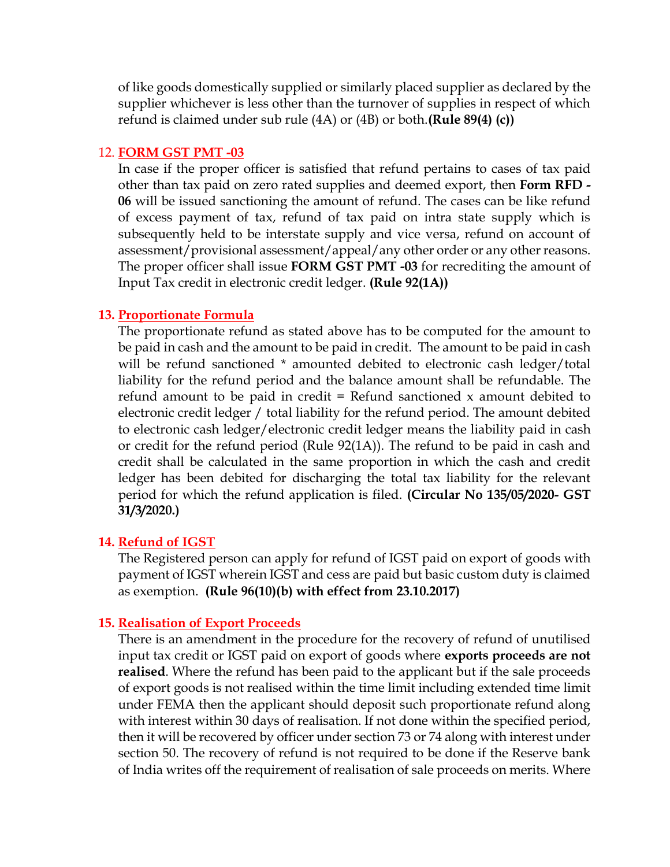of like goods domestically supplied or similarly placed supplier as declared by the supplier whichever is less other than the turnover of supplies in respect of which refund is claimed under sub rule (4A) or (4B) or both.**(Rule 89(4) (c))**

### 12. **FORM GST PMT -03**

In case if the proper officer is satisfied that refund pertains to cases of tax paid other than tax paid on zero rated supplies and deemed export, then **Form RFD - 06** will be issued sanctioning the amount of refund. The cases can be like refund of excess payment of tax, refund of tax paid on intra state supply which is subsequently held to be interstate supply and vice versa, refund on account of assessment/provisional assessment/appeal/any other order or any other reasons. The proper officer shall issue **FORM GST PMT -03** for recrediting the amount of Input Tax credit in electronic credit ledger. **(Rule 92(1A))**

#### **13. Proportionate Formula**

The proportionate refund as stated above has to be computed for the amount to be paid in cash and the amount to be paid in credit. The amount to be paid in cash will be refund sanctioned \* amounted debited to electronic cash ledger/total liability for the refund period and the balance amount shall be refundable. The refund amount to be paid in credit  $=$  Refund sanctioned x amount debited to electronic credit ledger / total liability for the refund period. The amount debited to electronic cash ledger/electronic credit ledger means the liability paid in cash or credit for the refund period (Rule 92(1A)). The refund to be paid in cash and credit shall be calculated in the same proportion in which the cash and credit ledger has been debited for discharging the total tax liability for the relevant period for which the refund application is filed. **(Circular No 135/05/2020- GST 31/3/2020.)**

## **14. Refund of IGST**

The Registered person can apply for refund of IGST paid on export of goods with payment of IGST wherein IGST and cess are paid but basic custom duty is claimed as exemption. **(Rule 96(10)(b) with effect from 23.10.2017)**

## **15. Realisation of Export Proceeds**

There is an amendment in the procedure for the recovery of refund of unutilised input tax credit or IGST paid on export of goods where **exports proceeds are not realised**. Where the refund has been paid to the applicant but if the sale proceeds of export goods is not realised within the time limit including extended time limit under FEMA then the applicant should deposit such proportionate refund along with interest within 30 days of realisation. If not done within the specified period, then it will be recovered by officer under section 73 or 74 along with interest under section 50. The recovery of refund is not required to be done if the Reserve bank of India writes off the requirement of realisation of sale proceeds on merits. Where